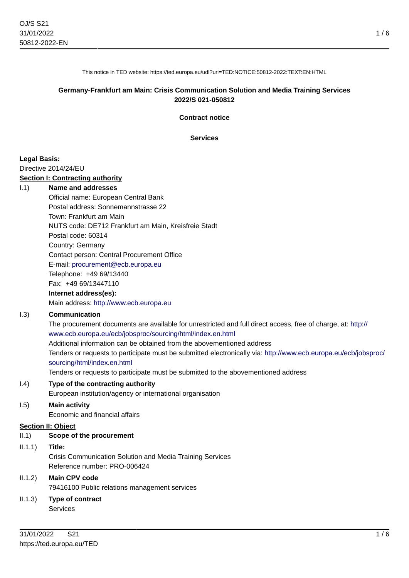1 / 6

This notice in TED website: https://ted.europa.eu/udl?uri=TED:NOTICE:50812-2022:TEXT:EN:HTML

### **Germany-Frankfurt am Main: Crisis Communication Solution and Media Training Services 2022/S 021-050812**

**Contract notice**

**Services**

### **Legal Basis:**

Directive 2014/24/EU

### **Section I: Contracting authority**

#### I.1) **Name and addresses**

Official name: European Central Bank Postal address: Sonnemannstrasse 22 Town: Frankfurt am Main NUTS code: DE712 Frankfurt am Main, Kreisfreie Stadt Postal code: 60314 Country: Germany Contact person: Central Procurement Office E-mail: [procurement@ecb.europa.eu](mailto:procurement@ecb.europa.eu) Telephone: +49 69/13440 Fax: +49 69/13447110

#### **Internet address(es):**

Main address:<http://www.ecb.europa.eu>

### I.3) **Communication**

The procurement documents are available for unrestricted and full direct access, free of charge, at: [http://](http://www.ecb.europa.eu/ecb/jobsproc/sourcing/html/index.en.html) [www.ecb.europa.eu/ecb/jobsproc/sourcing/html/index.en.html](http://www.ecb.europa.eu/ecb/jobsproc/sourcing/html/index.en.html) Additional information can be obtained from the abovementioned address Tenders or requests to participate must be submitted electronically via: [http://www.ecb.europa.eu/ecb/jobsproc/](http://www.ecb.europa.eu/ecb/jobsproc/sourcing/html/index.en.html) [sourcing/html/index.en.html](http://www.ecb.europa.eu/ecb/jobsproc/sourcing/html/index.en.html)

Tenders or requests to participate must be submitted to the abovementioned address

#### I.4) **Type of the contracting authority**

European institution/agency or international organisation

# I.5) **Main activity**

Economic and financial affairs

# **Section II: Object**

# II.1) **Scope of the procurement**

II.1.1) **Title:** Crisis Communication Solution and Media Training Services Reference number: PRO-006424

# II.1.2) **Main CPV code**

79416100 Public relations management services

# II.1.3) **Type of contract**

Services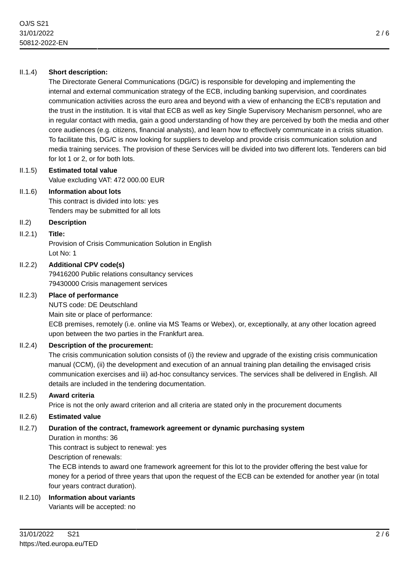# II.1.4) **Short description:**

The Directorate General Communications (DG/C) is responsible for developing and implementing the internal and external communication strategy of the ECB, including banking supervision, and coordinates communication activities across the euro area and beyond with a view of enhancing the ECB's reputation and the trust in the institution. It is vital that ECB as well as key Single Supervisory Mechanism personnel, who are in regular contact with media, gain a good understanding of how they are perceived by both the media and other core audiences (e.g. citizens, financial analysts), and learn how to effectively communicate in a crisis situation. To facilitate this, DG/C is now looking for suppliers to develop and provide crisis communication solution and media training services. The provision of these Services will be divided into two different lots. Tenderers can bid for lot 1 or 2, or for both lots.

### II.1.5) **Estimated total value** Value excluding VAT: 472 000.00 EUR

### II.1.6) **Information about lots**

This contract is divided into lots: yes Tenders may be submitted for all lots

### II.2) **Description**

### II.2.1) **Title:**

Provision of Crisis Communication Solution in English Lot No: 1

### II.2.2) **Additional CPV code(s)**

79416200 Public relations consultancy services 79430000 Crisis management services

### II.2.3) **Place of performance**

NUTS code: DE Deutschland

Main site or place of performance:

ECB premises, remotely (i.e. online via MS Teams or Webex), or, exceptionally, at any other location agreed upon between the two parties in the Frankfurt area.

### II.2.4) **Description of the procurement:**

The crisis communication solution consists of (i) the review and upgrade of the existing crisis communication manual (CCM), (ii) the development and execution of an annual training plan detailing the envisaged crisis communication exercises and iii) ad-hoc consultancy services. The services shall be delivered in English. All details are included in the tendering documentation.

### II.2.5) **Award criteria**

Price is not the only award criterion and all criteria are stated only in the procurement documents

### II.2.6) **Estimated value**

# II.2.7) **Duration of the contract, framework agreement or dynamic purchasing system**

Duration in months: 36

This contract is subject to renewal: yes

Description of renewals:

The ECB intends to award one framework agreement for this lot to the provider offering the best value for money for a period of three years that upon the request of the ECB can be extended for another year (in total four years contract duration).

# II.2.10) **Information about variants**

Variants will be accepted: no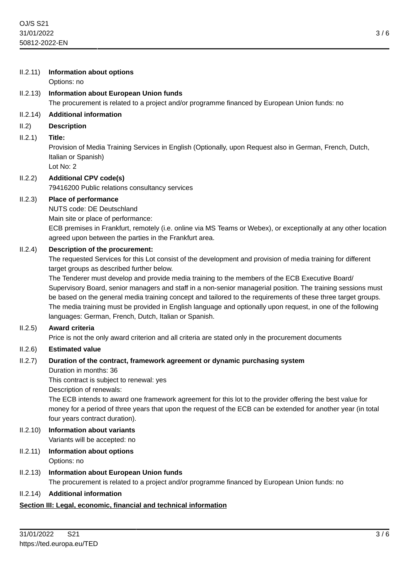### II.2.11) **Information about options**

Options: no

# II.2.13) **Information about European Union funds**

The procurement is related to a project and/or programme financed by European Union funds: no

### II.2.14) **Additional information**

#### II.2) **Description**

### II.2.1) **Title:**

Provision of Media Training Services in English (Optionally, upon Request also in German, French, Dutch, Italian or Spanish) Lot No: 2

# II.2.2) **Additional CPV code(s)**

79416200 Public relations consultancy services

### II.2.3) **Place of performance**

NUTS code: DE Deutschland

Main site or place of performance:

ECB premises in Frankfurt, remotely (i.e. online via MS Teams or Webex), or exceptionally at any other location agreed upon between the parties in the Frankfurt area.

### II.2.4) **Description of the procurement:**

The requested Services for this Lot consist of the development and provision of media training for different target groups as described further below.

The Tenderer must develop and provide media training to the members of the ECB Executive Board/ Supervisory Board, senior managers and staff in a non-senior managerial position. The training sessions must be based on the general media training concept and tailored to the requirements of these three target groups. The media training must be provided in English language and optionally upon request, in one of the following languages: German, French, Dutch, Italian or Spanish.

### II.2.5) **Award criteria**

Price is not the only award criterion and all criteria are stated only in the procurement documents

### II.2.6) **Estimated value**

### II.2.7) **Duration of the contract, framework agreement or dynamic purchasing system**

Duration in months: 36

This contract is subject to renewal: yes

Description of renewals:

The ECB intends to award one framework agreement for this lot to the provider offering the best value for money for a period of three years that upon the request of the ECB can be extended for another year (in total four years contract duration).

- II.2.10) **Information about variants** Variants will be accepted: no
- II.2.11) **Information about options** Options: no

### II.2.13) **Information about European Union funds** The procurement is related to a project and/or programme financed by European Union funds: no

### II.2.14) **Additional information**

### **Section III: Legal, economic, financial and technical information**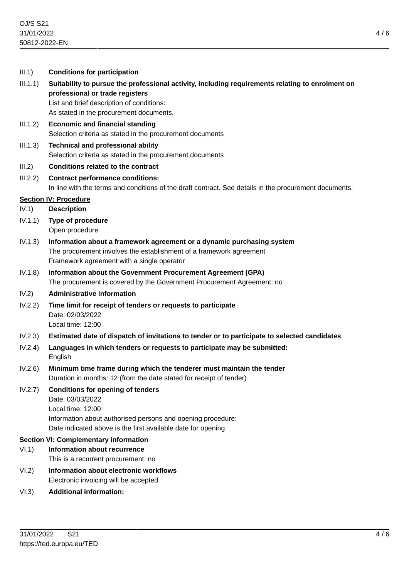| III.1)                                       | <b>Conditions for participation</b>                                                                                                                                                                                         |
|----------------------------------------------|-----------------------------------------------------------------------------------------------------------------------------------------------------------------------------------------------------------------------------|
| III.1.1)                                     | Suitability to pursue the professional activity, including requirements relating to enrolment on<br>professional or trade registers<br>List and brief description of conditions:<br>As stated in the procurement documents. |
| III.1.2)                                     | <b>Economic and financial standing</b><br>Selection criteria as stated in the procurement documents                                                                                                                         |
| III.1.3)                                     | <b>Technical and professional ability</b><br>Selection criteria as stated in the procurement documents                                                                                                                      |
| III.2)                                       | <b>Conditions related to the contract</b>                                                                                                                                                                                   |
| III.2.2)                                     | <b>Contract performance conditions:</b><br>In line with the terms and conditions of the draft contract. See details in the procurement documents.                                                                           |
| IV.1)                                        | <b>Section IV: Procedure</b><br><b>Description</b>                                                                                                                                                                          |
| IV.1.1)                                      | Type of procedure<br>Open procedure                                                                                                                                                                                         |
| IV.1.3)                                      | Information about a framework agreement or a dynamic purchasing system<br>The procurement involves the establishment of a framework agreement<br>Framework agreement with a single operator                                 |
| IV.1.8)                                      | Information about the Government Procurement Agreement (GPA)<br>The procurement is covered by the Government Procurement Agreement: no                                                                                      |
| IV.2)                                        | <b>Administrative information</b>                                                                                                                                                                                           |
| IV.2.2)                                      | Time limit for receipt of tenders or requests to participate<br>Date: 02/03/2022<br>Local time: 12:00                                                                                                                       |
| IV.2.3)                                      | Estimated date of dispatch of invitations to tender or to participate to selected candidates                                                                                                                                |
| IV.2.4)                                      | Languages in which tenders or requests to participate may be submitted:<br>English                                                                                                                                          |
| IV.2.6                                       | Minimum time frame during which the tenderer must maintain the tender<br>Duration in months: 12 (from the date stated for receipt of tender)                                                                                |
| IV.2.7)                                      | <b>Conditions for opening of tenders</b><br>Date: 03/03/2022<br>Local time: 12:00<br>Information about authorised persons and opening procedure:<br>Date indicated above is the first available date for opening.           |
| <b>Section VI: Complementary information</b> |                                                                                                                                                                                                                             |
| VI.1)                                        | <b>Information about recurrence</b><br>This is a recurrent procurement: no                                                                                                                                                  |
| VI.2)                                        | Information about electronic workflows<br>Electronic invoicing will be accepted                                                                                                                                             |

VI.3) **Additional information:**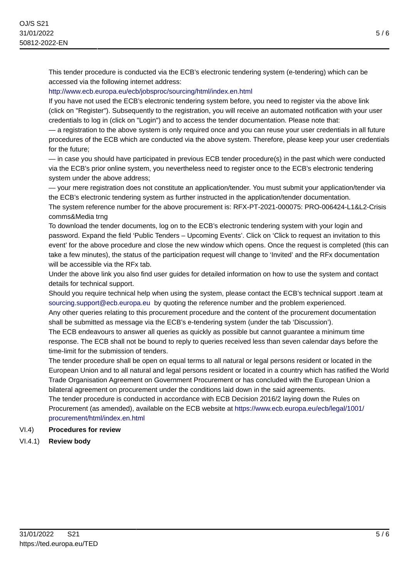This tender procedure is conducted via the ECB's electronic tendering system (e-tendering) which can be accessed via the following internet address:

# <http://www.ecb.europa.eu/ecb/jobsproc/sourcing/html/index.en.html>

If you have not used the ECB's electronic tendering system before, you need to register via the above link (click on "Register"). Subsequently to the registration, you will receive an automated notification with your user credentials to log in (click on "Login") and to access the tender documentation. Please note that:

— a registration to the above system is only required once and you can reuse your user credentials in all future procedures of the ECB which are conducted via the above system. Therefore, please keep your user credentials for the future;

— in case you should have participated in previous ECB tender procedure(s) in the past which were conducted via the ECB's prior online system, you nevertheless need to register once to the ECB's electronic tendering system under the above address;

— your mere registration does not constitute an application/tender. You must submit your application/tender via the ECB's electronic tendering system as further instructed in the application/tender documentation.

The system reference number for the above procurement is: RFX-PT-2021-000075: PRO-006424-L1&L2-Crisis comms&Media trng

To download the tender documents, log on to the ECB's electronic tendering system with your login and password. Expand the field 'Public Tenders – Upcoming Events'. Click on 'Click to request an invitation to this event' for the above procedure and close the new window which opens. Once the request is completed (this can take a few minutes), the status of the participation request will change to 'Invited' and the RFx documentation will be accessible via the RFx tab.

Under the above link you also find user guides for detailed information on how to use the system and contact details for technical support.

Should you require technical help when using the system, please contact the ECB's technical support .team at [sourcing.support@ecb.europa.eu](mailto:sourcing.support@ecb.europa.eu) by quoting the reference number and the problem experienced.

Any other queries relating to this procurement procedure and the content of the procurement documentation shall be submitted as message via the ECB's e-tendering system (under the tab 'Discussion').

The ECB endeavours to answer all queries as quickly as possible but cannot guarantee a minimum time response. The ECB shall not be bound to reply to queries received less than seven calendar days before the time-limit for the submission of tenders.

The tender procedure shall be open on equal terms to all natural or legal persons resident or located in the European Union and to all natural and legal persons resident or located in a country which has ratified the World Trade Organisation Agreement on Government Procurement or has concluded with the European Union a bilateral agreement on procurement under the conditions laid down in the said agreements.

The tender procedure is conducted in accordance with ECB Decision 2016/2 laying down the Rules on Procurement (as amended), available on the ECB website at [https://www.ecb.europa.eu/ecb/legal/1001/](https://www.ecb.europa.eu/ecb/legal/1001/procurement/html/index.en.html) [procurement/html/index.en.html](https://www.ecb.europa.eu/ecb/legal/1001/procurement/html/index.en.html)

# VI.4) **Procedures for review**

VI.4.1) **Review body**